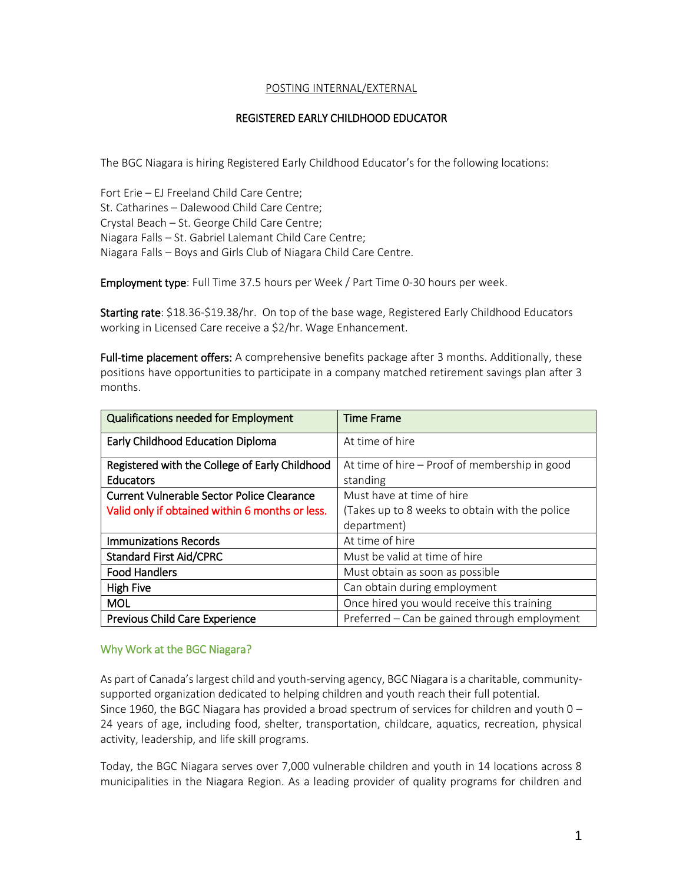## POSTING INTERNAL/EXTERNAL

## REGISTERED EARLY CHILDHOOD EDUCATOR

The BGC Niagara is hiring Registered Early Childhood Educator's for the following locations:

Fort Erie – EJ Freeland Child Care Centre; St. Catharines – Dalewood Child Care Centre; Crystal Beach – St. George Child Care Centre; Niagara Falls – St. Gabriel Lalemant Child Care Centre; Niagara Falls – Boys and Girls Club of Niagara Child Care Centre.

Employment type: Full Time 37.5 hours per Week / Part Time 0-30 hours per week.

Starting rate: \$18.36-\$19.38/hr. On top of the base wage, Registered Early Childhood Educators working in Licensed Care receive a \$2/hr. Wage Enhancement.

Full-time placement offers: A comprehensive benefits package after 3 months. Additionally, these positions have opportunities to participate in a company matched retirement savings plan after 3 months.

| <b>Qualifications needed for Employment</b>     | <b>Time Frame</b>                              |
|-------------------------------------------------|------------------------------------------------|
| <b>Early Childhood Education Diploma</b>        | At time of hire                                |
| Registered with the College of Early Childhood  | At time of hire – Proof of membership in good  |
| Educators                                       | standing                                       |
| Current Vulnerable Sector Police Clearance      | Must have at time of hire                      |
| Valid only if obtained within 6 months or less. | (Takes up to 8 weeks to obtain with the police |
|                                                 | department)                                    |
| <b>Immunizations Records</b>                    | At time of hire                                |
| <b>Standard First Aid/CPRC</b>                  | Must be valid at time of hire                  |
| <b>Food Handlers</b>                            | Must obtain as soon as possible                |
| <b>High Five</b>                                | Can obtain during employment                   |
| <b>MOL</b>                                      | Once hired you would receive this training     |
| <b>Previous Child Care Experience</b>           | Preferred – Can be gained through employment   |

## Why Work at the BGC Niagara?

As part of Canada's largest child and youth-serving agency, BGC Niagara is a charitable, communitysupported organization dedicated to helping children and youth reach their full potential. Since 1960, the BGC Niagara has provided a broad spectrum of services for children and youth  $0 -$ 24 years of age, including food, shelter, transportation, childcare, aquatics, recreation, physical activity, leadership, and life skill programs.

Today, the BGC Niagara serves over 7,000 vulnerable children and youth in 14 locations across 8 municipalities in the Niagara Region. As a leading provider of quality programs for children and